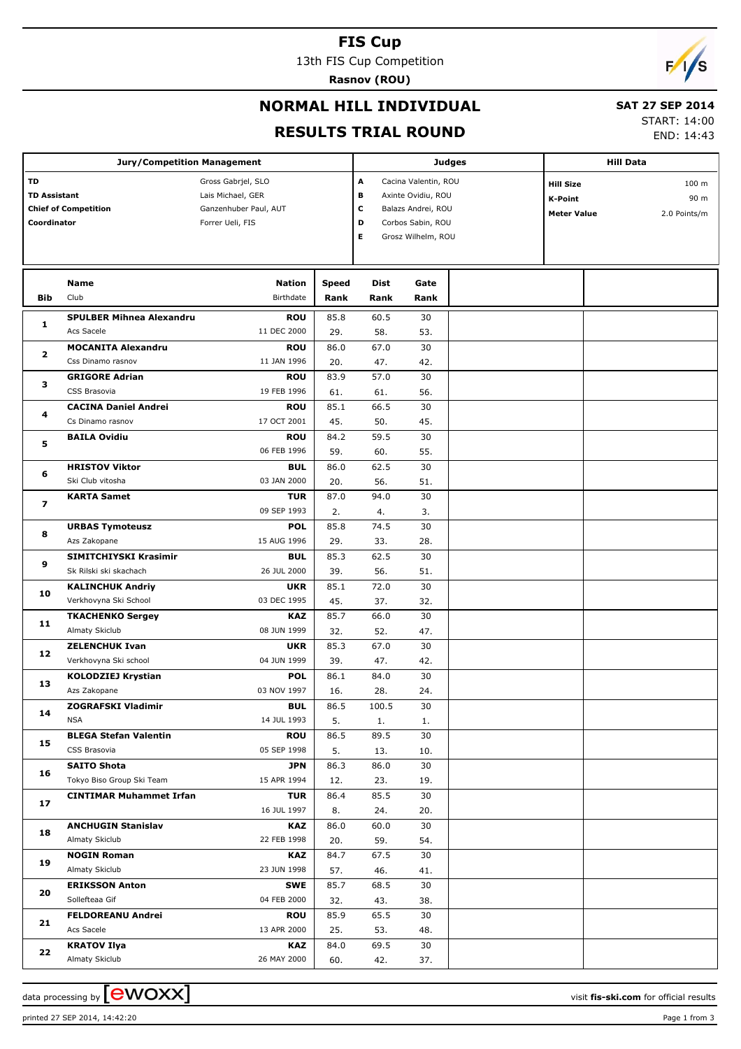#### **FIS Cup**

13th FIS Cup Competition

**Rasnov (ROU)**



## **NORMAL HILL INDIVIDUAL**

# **SAT 27 SEP 2014**

**RESULTS TRIAL ROUND**

|  | AI 67 JEI 6947 |  |  |
|--|----------------|--|--|
|  | START: 14:00   |  |  |
|  | ---- --        |  |  |

END: 14:43

| <b>Jury/Competition Management</b> |                                 |                       |              |       |                      | <b>Judges</b> | <b>Hill Data</b>   |  |              |
|------------------------------------|---------------------------------|-----------------------|--------------|-------|----------------------|---------------|--------------------|--|--------------|
| TD                                 |                                 | Gross Gabrjel, SLO    |              | А     | Cacina Valentin, ROU |               | <b>Hill Size</b>   |  | 100 m        |
| <b>TD Assistant</b>                |                                 | Lais Michael, GER     |              | В     | Axinte Ovidiu, ROU   |               | <b>K-Point</b>     |  | 90 m         |
| <b>Chief of Competition</b>        |                                 | Ganzenhuber Paul, AUT |              | c     | Balazs Andrei, ROU   |               | <b>Meter Value</b> |  | 2.0 Points/m |
| Coordinator                        |                                 | Forrer Ueli, FIS      |              | D     | Corbos Sabin, ROU    |               |                    |  |              |
|                                    |                                 |                       |              | E     | Grosz Wilhelm, ROU   |               |                    |  |              |
|                                    |                                 |                       |              |       |                      |               |                    |  |              |
|                                    |                                 |                       |              |       |                      |               |                    |  |              |
|                                    | Name                            | <b>Nation</b>         | <b>Speed</b> | Dist  | Gate                 |               |                    |  |              |
| <b>Bib</b>                         | Club                            | Birthdate             | Rank         | Rank  | Rank                 |               |                    |  |              |
| 1                                  | <b>SPULBER Mihnea Alexandru</b> | <b>ROU</b>            | 85.8         | 60.5  | 30                   |               |                    |  |              |
|                                    | Acs Sacele                      | 11 DEC 2000           | 29.          | 58.   | 53.                  |               |                    |  |              |
| 2                                  | <b>MOCANITA Alexandru</b>       | <b>ROU</b>            | 86.0         | 67.0  | 30                   |               |                    |  |              |
|                                    | Css Dinamo rasnov               | 11 JAN 1996           | 20.          | 47.   | 42.                  |               |                    |  |              |
| 3                                  | <b>GRIGORE Adrian</b>           | <b>ROU</b>            | 83.9         | 57.0  | 30                   |               |                    |  |              |
|                                    | CSS Brasovia                    | 19 FEB 1996           | 61.          | 61.   | 56.                  |               |                    |  |              |
| 4                                  | <b>CACINA Daniel Andrei</b>     | <b>ROU</b>            | 85.1         | 66.5  | 30                   |               |                    |  |              |
|                                    | Cs Dinamo rasnov                | 17 OCT 2001           | 45.          | 50.   | 45.                  |               |                    |  |              |
| 5                                  | <b>BAILA Ovidiu</b>             | <b>ROU</b>            | 84.2         | 59.5  | 30                   |               |                    |  |              |
|                                    |                                 | 06 FEB 1996           | 59.          | 60.   | 55.                  |               |                    |  |              |
| 6                                  | <b>HRISTOV Viktor</b>           | <b>BUL</b>            | 86.0         | 62.5  | 30                   |               |                    |  |              |
|                                    | Ski Club vitosha                | 03 JAN 2000           | 20.          | 56.   | 51.                  |               |                    |  |              |
| 7                                  | <b>KARTA Samet</b>              | <b>TUR</b>            | 87.0         | 94.0  | 30                   |               |                    |  |              |
|                                    |                                 | 09 SEP 1993           | 2.           | 4.    | 3.                   |               |                    |  |              |
| 8                                  | <b>URBAS Tymoteusz</b>          | <b>POL</b>            | 85.8         | 74.5  | 30                   |               |                    |  |              |
|                                    | Azs Zakopane                    | 15 AUG 1996           | 29.          | 33.   | 28.                  |               |                    |  |              |
| 9                                  | SIMITCHIYSKI Krasimir           | <b>BUL</b>            | 85.3         | 62.5  | 30                   |               |                    |  |              |
|                                    | Sk Rilski ski skachach          | 26 JUL 2000           | 39.          | 56.   | 51.                  |               |                    |  |              |
| 10                                 | <b>KALINCHUK Andriy</b>         | <b>UKR</b>            | 85.1         | 72.0  | 30                   |               |                    |  |              |
|                                    | Verkhovyna Ski School           | 03 DEC 1995           | 45.          | 37.   | 32.                  |               |                    |  |              |
| 11                                 | <b>TKACHENKO Sergey</b>         | <b>KAZ</b>            | 85.7         | 66.0  | 30                   |               |                    |  |              |
|                                    | Almaty Skiclub                  | 08 JUN 1999           | 32.          | 52.   | 47.                  |               |                    |  |              |
| 12                                 | <b>ZELENCHUK Ivan</b>           | <b>UKR</b>            | 85.3         | 67.0  | 30                   |               |                    |  |              |
|                                    | Verkhovyna Ski school           | 04 JUN 1999           | 39.          | 47.   | 42.                  |               |                    |  |              |
| 13                                 | <b>KOLODZIEJ Krystian</b>       | <b>POL</b>            | 86.1         | 84.0  | 30                   |               |                    |  |              |
|                                    | Azs Zakopane                    | 03 NOV 1997           | 16.          | 28.   | 24.                  |               |                    |  |              |
| 14                                 | <b>ZOGRAFSKI Vladimir</b>       | <b>BUL</b>            | 86.5         | 100.5 | 30                   |               |                    |  |              |
|                                    | <b>NSA</b>                      | 14 JUL 1993           | 5.           | 1.    | 1.                   |               |                    |  |              |
| 15                                 | <b>BLEGA Stefan Valentin</b>    | <b>ROU</b>            | 86.5         | 89.5  | 30                   |               |                    |  |              |
|                                    | CSS Brasovia                    | 05 SEP 1998           | 5.           | 13.   | 10.                  |               |                    |  |              |
| 16                                 | <b>SAITO Shota</b>              | <b>JPN</b>            | 86.3         | 86.0  | 30                   |               |                    |  |              |
|                                    | Tokyo Biso Group Ski Team       | 15 APR 1994           | 12.          | 23.   | 19.                  |               |                    |  |              |
| 17                                 | <b>CINTIMAR Muhammet Irfan</b>  | <b>TUR</b>            | 86.4         | 85.5  | 30                   |               |                    |  |              |
|                                    |                                 | 16 JUL 1997           | 8.           | 24.   | 20.                  |               |                    |  |              |
| 18                                 | <b>ANCHUGIN Stanislav</b>       | <b>KAZ</b>            | 86.0         | 60.0  | 30                   |               |                    |  |              |
|                                    | Almaty Skiclub                  | 22 FEB 1998           | 20.          | 59.   | 54.                  |               |                    |  |              |
| 19                                 | <b>NOGIN Roman</b>              | <b>KAZ</b>            | 84.7         | 67.5  | 30                   |               |                    |  |              |
|                                    | Almaty Skiclub                  | 23 JUN 1998           | 57.          | 46.   | 41.                  |               |                    |  |              |
| 20                                 | <b>ERIKSSON Anton</b>           | <b>SWE</b>            | 85.7         | 68.5  | 30                   |               |                    |  |              |
|                                    | Sollefteaa Gif                  | 04 FEB 2000           | 32.          | 43.   | 38.                  |               |                    |  |              |
| 21                                 | <b>FELDOREANU Andrei</b>        | <b>ROU</b>            | 85.9         | 65.5  | 30                   |               |                    |  |              |
|                                    | Acs Sacele                      | 13 APR 2000           | 25.          | 53.   | 48.                  |               |                    |  |              |
| 22                                 | <b>KRATOV Ilya</b>              | <b>KAZ</b>            | 84.0         | 69.5  | 30                   |               |                    |  |              |
|                                    | Almaty Skiclub                  | 26 MAY 2000           | 60.          | 42.   | 37.                  |               |                    |  |              |

printed 27 SEP 2014, 14:42:20 Page 1 from 3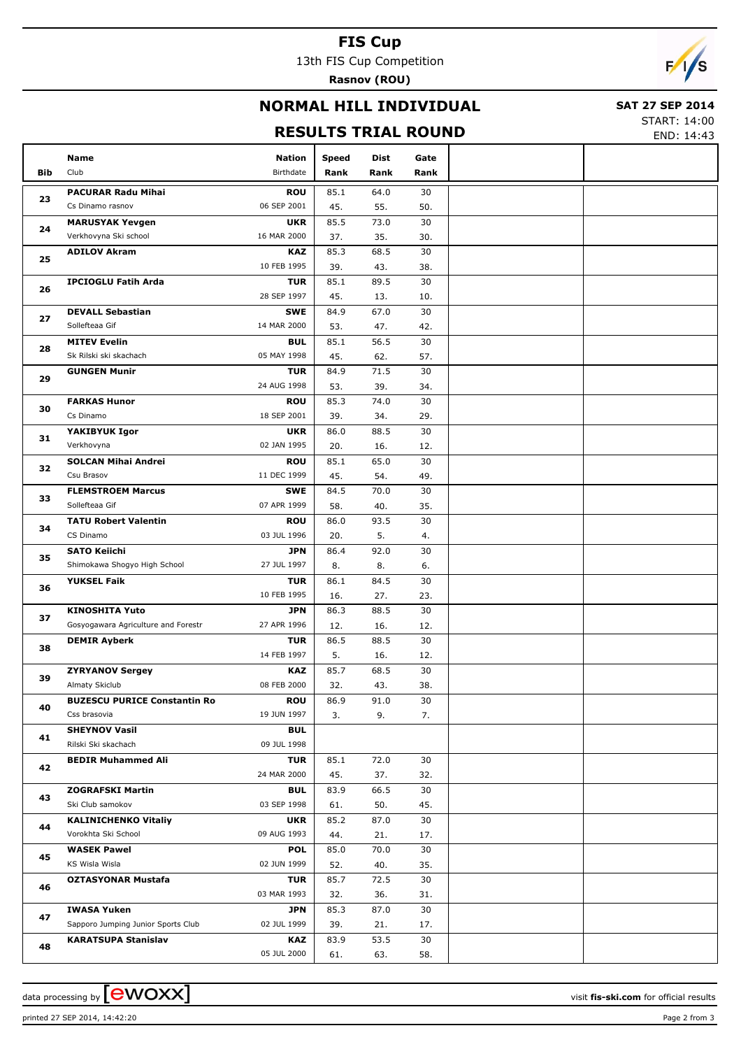### **FIS Cup**

13th FIS Cup Competition

**Rasnov (ROU)**



### **NORMAL HILL INDIVIDUAL**

#### **SAT 27 SEP 2014**

#### **RESULTS TRIAL ROUND**

START: 14:00 END: 14:43

|            | Name                                 | <b>Nation</b>             | <b>Speed</b> | Dist        | Gate      |  |
|------------|--------------------------------------|---------------------------|--------------|-------------|-----------|--|
| <b>Bib</b> | Club                                 | Birthdate                 | Rank         | Rank        | Rank      |  |
|            | <b>PACURAR Radu Mihai</b>            | <b>ROU</b>                | 85.1         | 64.0        | 30        |  |
| 23         | Cs Dinamo rasnov                     | 06 SEP 2001               | 45.          | 55.         | 50.       |  |
|            | <b>MARUSYAK Yevgen</b>               | <b>UKR</b>                | 85.5         | 73.0        | 30        |  |
| 24         | Verkhovyna Ski school                | 16 MAR 2000               | 37.          | 35.         | 30.       |  |
|            | <b>ADILOV Akram</b>                  | <b>KAZ</b>                | 85.3         | 68.5        | 30        |  |
| 25         |                                      | 10 FEB 1995               | 39.          | 43.         | 38.       |  |
| 26         | <b>IPCIOGLU Fatih Arda</b>           | <b>TUR</b>                | 85.1         | 89.5        | 30        |  |
|            |                                      | 28 SEP 1997               | 45.          | 13.         | 10.       |  |
| 27         | <b>DEVALL Sebastian</b>              | <b>SWE</b>                | 84.9         | 67.0        | 30        |  |
|            | Sollefteaa Gif                       | 14 MAR 2000               | 53.          | 47.         | 42.       |  |
| 28         | <b>MITEV Evelin</b>                  | <b>BUL</b>                | 85.1         | 56.5        | 30        |  |
|            | Sk Rilski ski skachach               | 05 MAY 1998               | 45.          | 62.         | 57.       |  |
| 29         | <b>GUNGEN Munir</b>                  | <b>TUR</b>                | 84.9         | 71.5        | 30        |  |
|            |                                      | 24 AUG 1998               | 53.          | 39.         | 34.       |  |
| 30         | <b>FARKAS Hunor</b><br>Cs Dinamo     | <b>ROU</b><br>18 SEP 2001 | 85.3<br>39.  | 74.0<br>34. | 30<br>29. |  |
|            | YAKIBYUK Igor                        | <b>UKR</b>                | 86.0         | 88.5        | 30        |  |
| 31         | Verkhovyna                           | 02 JAN 1995               | 20.          | 16.         | 12.       |  |
|            | <b>SOLCAN Mihai Andrei</b>           | <b>ROU</b>                | 85.1         | 65.0        | 30        |  |
| 32         | Csu Brasov                           | 11 DEC 1999               | 45.          | 54.         | 49.       |  |
|            | <b>FLEMSTROEM Marcus</b>             | <b>SWE</b>                | 84.5         | 70.0        | 30        |  |
| 33         | Sollefteaa Gif                       | 07 APR 1999               | 58.          | 40.         | 35.       |  |
|            | <b>TATU Robert Valentin</b>          | <b>ROU</b>                | 86.0         | 93.5        | 30        |  |
| 34         | CS Dinamo                            | 03 JUL 1996               | 20.          | 5.          | 4.        |  |
| 35         | <b>SATO Keiichi</b>                  | <b>JPN</b>                | 86.4         | 92.0        | 30        |  |
|            | Shimokawa Shogyo High School         | 27 JUL 1997               | 8.           | 8.          | 6.        |  |
| 36         | <b>YUKSEL Faik</b>                   | <b>TUR</b>                | 86.1         | 84.5        | 30        |  |
|            |                                      | 10 FEB 1995               | 16.          | 27.         | 23.       |  |
| 37         | <b>KINOSHITA Yuto</b>                | <b>JPN</b>                | 86.3         | 88.5        | 30        |  |
|            | Gosyogawara Agriculture and Forestr  | 27 APR 1996<br><b>TUR</b> | 12.<br>86.5  | 16.<br>88.5 | 12.<br>30 |  |
| 38         | <b>DEMIR Ayberk</b>                  | 14 FEB 1997               | 5.           | 16.         | 12.       |  |
|            | <b>ZYRYANOV Sergey</b>               | <b>KAZ</b>                | 85.7         | 68.5        | 30        |  |
| 39         | Almaty Skiclub                       | 08 FEB 2000               | 32.          | 43.         | 38.       |  |
|            | <b>BUZESCU PURICE Constantin Ro</b>  | <b>ROU</b>                | 86.9         | 91.0        | 30        |  |
| 40         | Css brasovia                         | 19 JUN 1997               | 3.           | 9.          | 7.        |  |
|            | <b>SHEYNOV Vasil</b>                 | <b>BUL</b>                |              |             |           |  |
| 41         | Rilski Ski skachach                  | 09 JUL 1998               |              |             |           |  |
| 42         | <b>BEDIR Muhammed Ali</b>            | <b>TUR</b>                | 85.1         | 72.0        | 30        |  |
|            |                                      | 24 MAR 2000               | 45.          | 37.         | 32.       |  |
| 43         | <b>ZOGRAFSKI Martin</b>              | <b>BUL</b>                | 83.9         | 66.5        | 30        |  |
|            | Ski Club samokov                     | 03 SEP 1998               | 61.          | 50.         | 45.       |  |
| 44         | <b>KALINICHENKO Vitaliy</b>          | <b>UKR</b>                | 85.2         | 87.0        | 30        |  |
|            | Vorokhta Ski School                  | 09 AUG 1993               | 44.          | 21.         | 17.       |  |
| 45         | <b>WASEK Pawel</b><br>KS Wisla Wisla | <b>POL</b><br>02 JUN 1999 | 85.0         | 70.0        | 30        |  |
|            | <b>OZTASYONAR Mustafa</b>            | <b>TUR</b>                | 52.<br>85.7  | 40.<br>72.5 | 35.<br>30 |  |
| 46         |                                      | 03 MAR 1993               | 32.          | 36.         | 31.       |  |
|            | <b>IWASA Yuken</b>                   | JPN                       | 85.3         | 87.0        | 30        |  |
| 47         | Sapporo Jumping Junior Sports Club   | 02 JUL 1999               | 39.          | 21.         | 17.       |  |
|            | <b>KARATSUPA Stanislav</b>           | KAZ                       | 83.9         | 53.5        | 30        |  |
| 48         |                                      | 05 JUL 2000               | 61.          | 63.         | 58.       |  |
|            |                                      |                           |              |             |           |  |